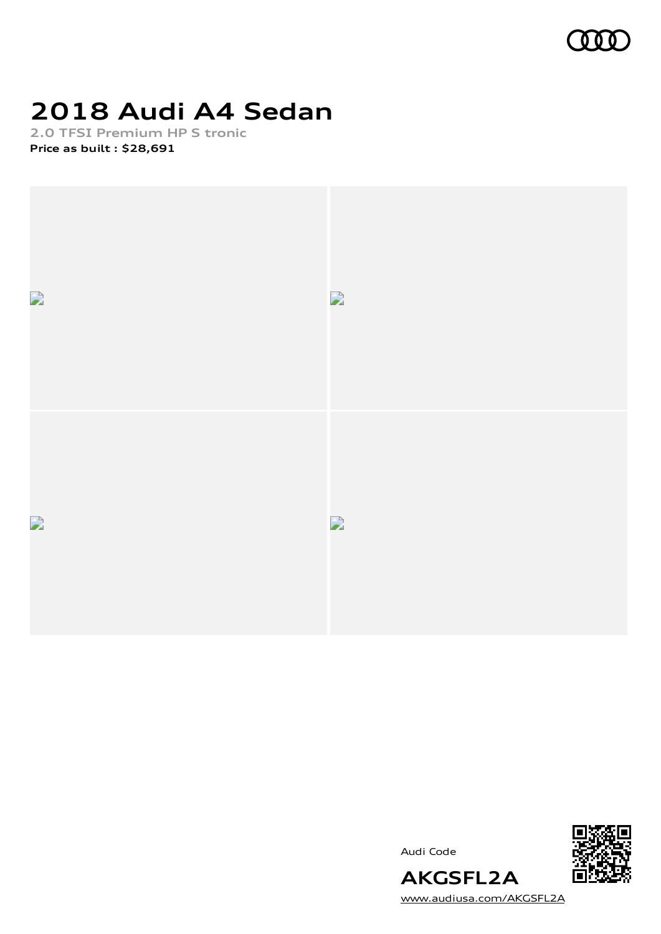

# **2018 Audi A4 Sedan**

**2.0 TFSI Premium HP S tronic Price as built [:](#page-10-0) \$28,691**



Audi Code



[www.audiusa.com/AKGSFL2A](https://www.audiusa.com/AKGSFL2A)

**AKGSFL2A**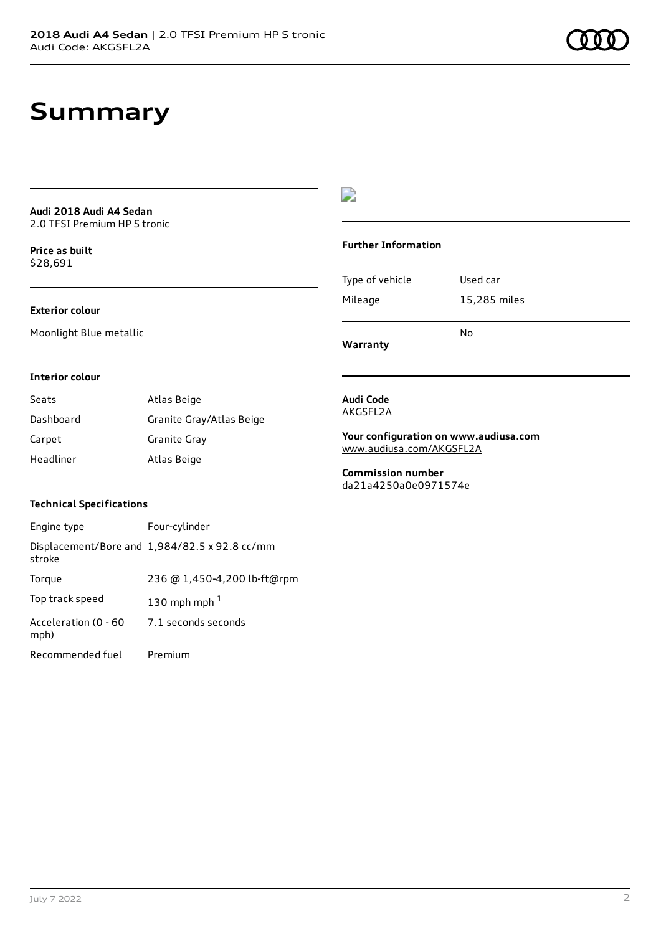## **Summary**

**Audi 2018 Audi A4 Sedan** 2.0 TFSI Premium HP S tronic

**Price as buil[t](#page-10-0)** \$28,691

#### **Exterior colour**

Moonlight Blue metallic

## $\overline{\phantom{a}}$

#### **Further Information**

| Type of vehicle | Used car     |
|-----------------|--------------|
| Mileage         | 15,285 miles |
|                 |              |

No

**Warranty**

#### **Interior colour**

| Seats     | Atlas Beige              |
|-----------|--------------------------|
| Dashboard | Granite Gray/Atlas Beige |
| Carpet    | Granite Gray             |
| Headliner | Atlas Beige              |

#### **Audi Code** AKGSFL2A

**Your configuration on www.audiusa.com**

[www.audiusa.com/AKGSFL2A](https://www.audiusa.com/AKGSFL2A)

**Commission number** da21a4250a0e0971574e

### **Technical Specifications**

| Engine type                  | Four-cylinder                                 |
|------------------------------|-----------------------------------------------|
| stroke                       | Displacement/Bore and 1,984/82.5 x 92.8 cc/mm |
| Torque                       | 236 @ 1,450-4,200 lb-ft@rpm                   |
| Top track speed              | 130 mph mph $1$                               |
| Acceleration (0 - 60<br>mph) | 7.1 seconds seconds                           |
| Recommended fuel             | Premium                                       |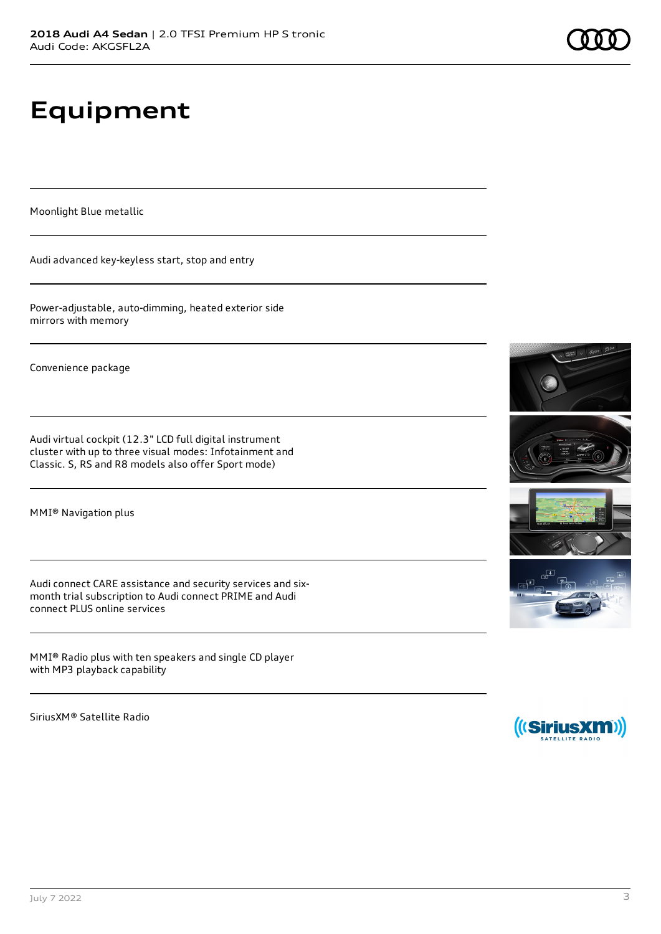# **Equipment**

Moonlight Blue metallic

Audi advanced key-keyless start, stop and entry

Power-adjustable, auto-dimming, heated exterior side mirrors with memory

Convenience package

Audi virtual cockpit (12.3" LCD full digital instrument cluster with up to three visual modes: Infotainment and Classic. S, RS and R8 models also offer Sport mode)

MMI® Navigation plus

Audi connect CARE assistance and security services and sixmonth trial subscription to Audi connect PRIME and Audi connect PLUS online services

MMI® Radio plus with ten speakers and single CD player with MP3 playback capability

SiriusXM® Satellite Radio









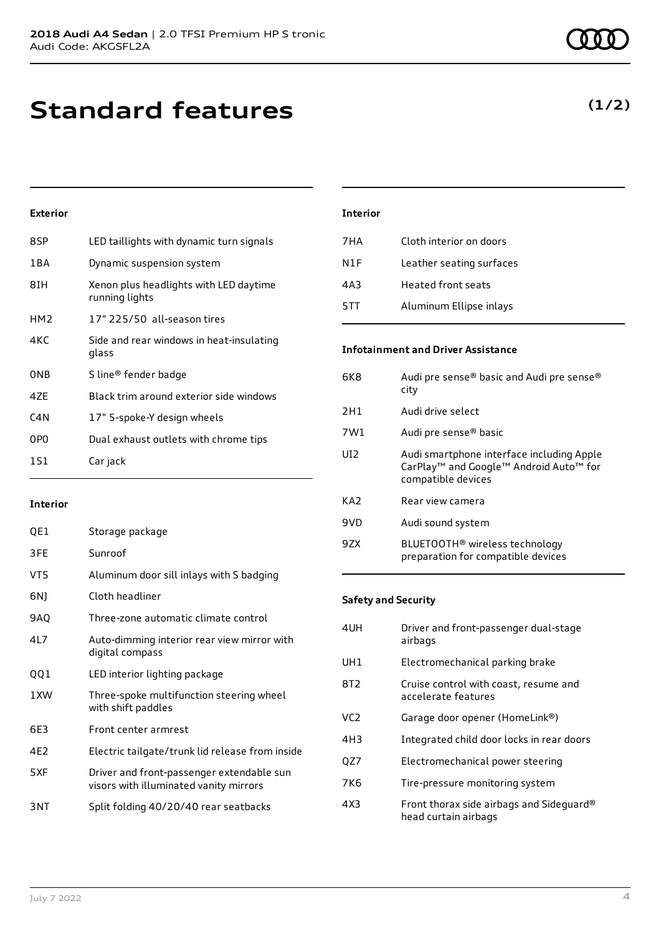**(1/2)**

## **Exterior**

| 8SP             | LED taillights with dynamic turn signals                 |
|-----------------|----------------------------------------------------------|
| 1 B A           | Dynamic suspension system                                |
| 8IH             | Xenon plus headlights with LED daytime<br>running lights |
| HM <sub>2</sub> | 17" 225/50 all-season tires                              |
| 4KC             | Side and rear windows in heat-insulating<br>glass        |
| 0NB             | S line® fender badge                                     |
| 4ZE             | Black trim around exterior side windows                  |
| C4N             | 17" 5-spoke-Y design wheels                              |
| 0PO             | Dual exhaust outlets with chrome tips                    |
| 151             | Car jack                                                 |
|                 |                                                          |

### **Interior**

| QE1             | Storage package                                                                     |
|-----------------|-------------------------------------------------------------------------------------|
| 3FE             | Sunroof                                                                             |
| VT5             | Aluminum door sill inlays with S badging                                            |
| 6N)             | Cloth headliner                                                                     |
| 9AQ             | Three-zone automatic climate control                                                |
| 41 7            | Auto-dimming interior rear view mirror with<br>digital compass                      |
| QQ1             | LED interior lighting package                                                       |
| 1XW             | Three-spoke multifunction steering wheel<br>with shift paddles                      |
| 6E3             | Front center armrest                                                                |
| 4E2             | Electric tailgate/trunk lid release from inside                                     |
| 5XF             | Driver and front-passenger extendable sun<br>visors with illuminated vanity mirrors |
| 3 <sub>NT</sub> | Split folding 40/20/40 rear seatbacks                                               |

| <b>Interior</b> |                          |
|-----------------|--------------------------|
| 7 H A           | Cloth interior on doors  |
| N1F             | Leather seating surfaces |
| 4A3             | Heated front seats       |
| 5TT             | Aluminum Ellipse inlays  |
|                 |                          |

### **Infotainment and Driver Assistance**

| 6K8 | Audi pre sense® basic and Audi pre sense®<br>city                                                                     |
|-----|-----------------------------------------------------------------------------------------------------------------------|
| 2H1 | Audi drive select                                                                                                     |
| 7W1 | Audi pre sense® basic                                                                                                 |
| UT2 | Audi smartphone interface including Apple<br>CarPlay <sup>™</sup> and Google™ Android Auto™ for<br>compatible devices |
| KA2 | Rear view camera                                                                                                      |
| 9VD | Audi sound system                                                                                                     |
| 97X | BLUETOOTH <sup>®</sup> wireless technology<br>preparation for compatible devices                                      |

### **Safety and Security**

| Electromechanical parking brake<br>UH1<br>8T2<br>Cruise control with coast, resume and<br>accelerate features<br>VC2.<br>Garage door opener (HomeLink®)<br>4H3<br>Integrated child door locks in rear doors<br>Electromechanical power steering<br>OZ7<br>7K6<br>Tire-pressure monitoring system<br>4X3<br>head curtain airbags | 4UH | Driver and front-passenger dual-stage<br>airbags |
|---------------------------------------------------------------------------------------------------------------------------------------------------------------------------------------------------------------------------------------------------------------------------------------------------------------------------------|-----|--------------------------------------------------|
|                                                                                                                                                                                                                                                                                                                                 |     |                                                  |
|                                                                                                                                                                                                                                                                                                                                 |     |                                                  |
|                                                                                                                                                                                                                                                                                                                                 |     |                                                  |
|                                                                                                                                                                                                                                                                                                                                 |     |                                                  |
|                                                                                                                                                                                                                                                                                                                                 |     |                                                  |
|                                                                                                                                                                                                                                                                                                                                 |     |                                                  |
|                                                                                                                                                                                                                                                                                                                                 |     | Front thorax side airbags and Sideguard®         |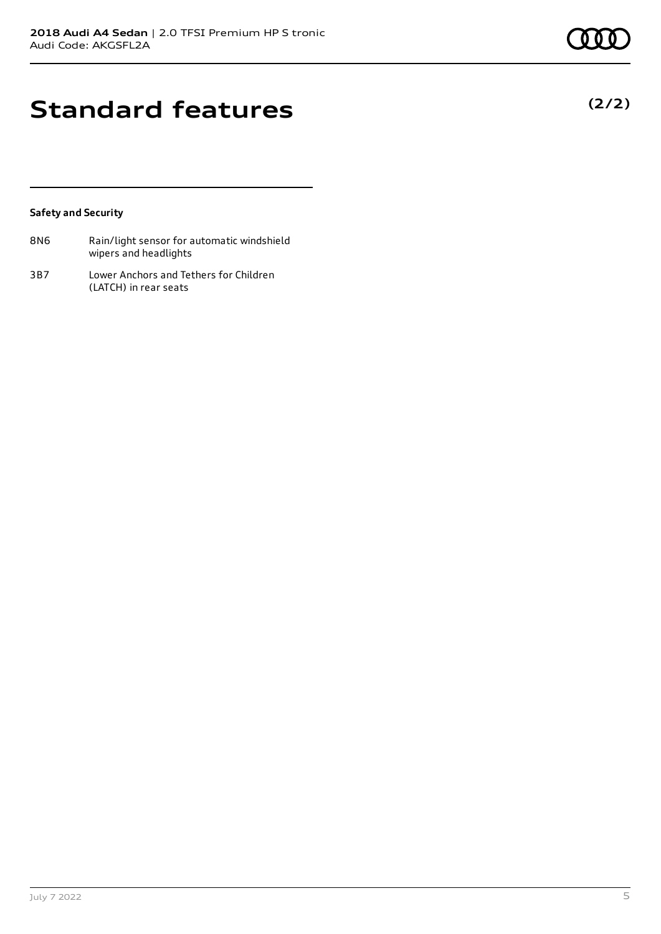**(2/2)**

## **Standard features**

### **Safety and Security**

| 8N6 | Rain/light sensor for automatic windshield |
|-----|--------------------------------------------|
|     | wipers and headlights                      |

3B7 Lower Anchors and Tethers for Children (LATCH) in rear seats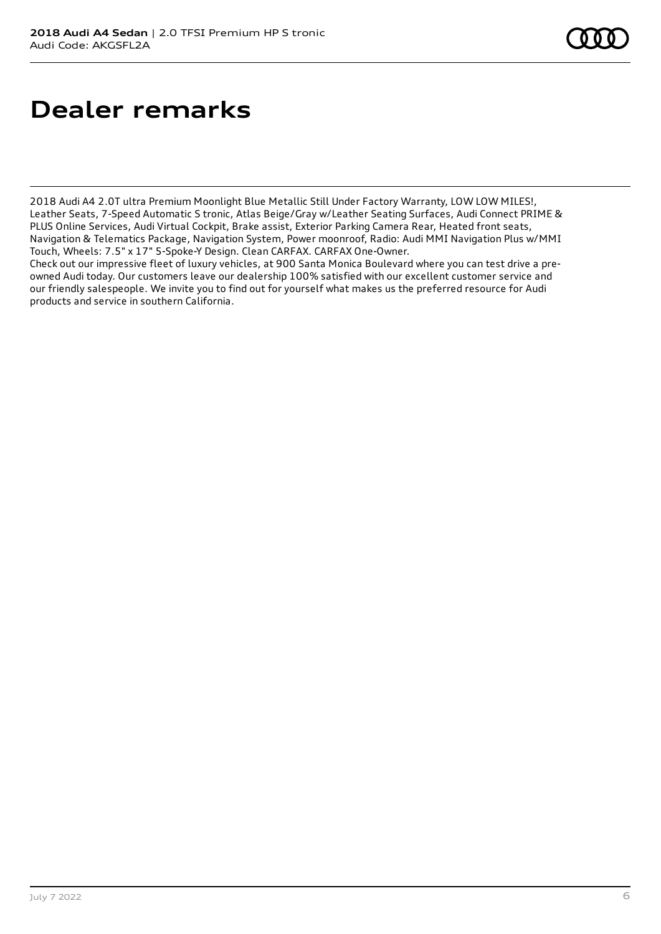## **Dealer remarks**

2018 Audi A4 2.0T ultra Premium Moonlight Blue Metallic Still Under Factory Warranty, LOW LOW MILES!, Leather Seats, 7-Speed Automatic S tronic, Atlas Beige/Gray w/Leather Seating Surfaces, Audi Connect PRIME & PLUS Online Services, Audi Virtual Cockpit, Brake assist, Exterior Parking Camera Rear, Heated front seats, Navigation & Telematics Package, Navigation System, Power moonroof, Radio: Audi MMI Navigation Plus w/MMI Touch, Wheels: 7.5" x 17" 5-Spoke-Y Design. Clean CARFAX. CARFAX One-Owner.

Check out our impressive fleet of luxury vehicles, at 900 Santa Monica Boulevard where you can test drive a preowned Audi today. Our customers leave our dealership 100% satisfied with our excellent customer service and our friendly salespeople. We invite you to find out for yourself what makes us the preferred resource for Audi products and service in southern California.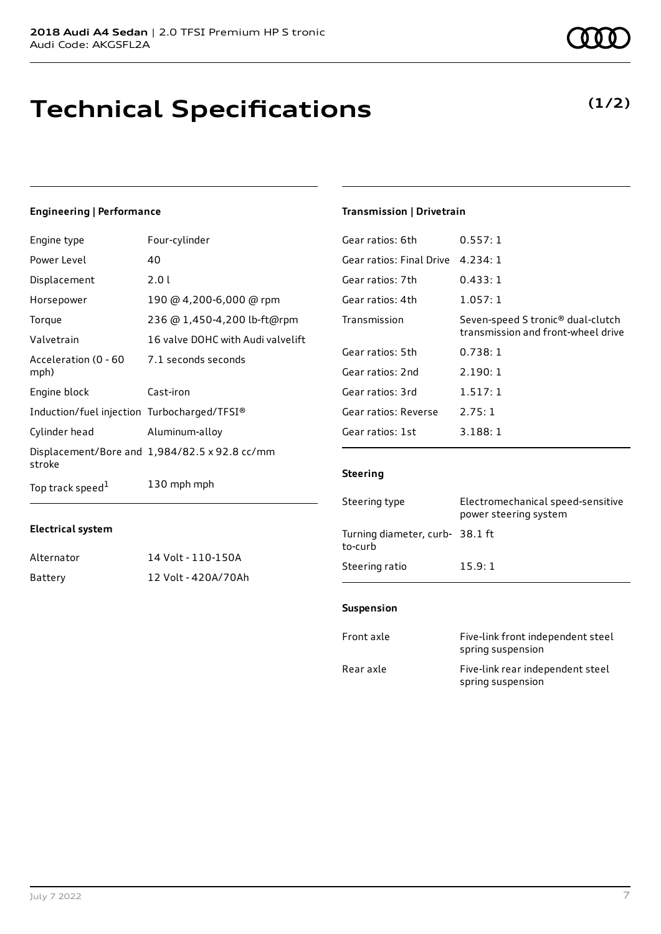## **Technical Specifications**

## **Engineering | Performance**

| Engine type                                 | Four-cylinder                                 |
|---------------------------------------------|-----------------------------------------------|
| Power Level                                 | 40                                            |
| Displacement                                | 2.0 l                                         |
| Horsepower                                  | 190 @ 4,200-6,000 @ rpm                       |
| Torque                                      | 236 @ 1,450-4,200 lb-ft@rpm                   |
| Valvetrain                                  | 16 valve DOHC with Audi valvelift             |
| Acceleration (0 - 60<br>mph)                | 7.1 seconds seconds                           |
| Engine block                                | Cast-iron                                     |
| Induction/fuel injection Turbocharged/TFSI® |                                               |
| Cylinder head                               | Aluminum-alloy                                |
| stroke                                      | Displacement/Bore and 1,984/82.5 x 92.8 cc/mm |
| Top track speed <sup>1</sup>                | 130 mph mph                                   |

### **Transmission | Drivetrain**

| Gear ratios: 6th         | 0.557:1                                                                             |
|--------------------------|-------------------------------------------------------------------------------------|
| Gear ratios: Final Drive | 4.234:1                                                                             |
| Gear ratios: 7th         | 0.433:1                                                                             |
| Gear ratios: 4th         | 1.057:1                                                                             |
| Transmission             | Seven-speed S tronic <sup>®</sup> dual-clutch<br>transmission and front-wheel drive |
| Gear ratios: 5th         | 0.738:1                                                                             |
| Gear ratios: 2nd         | 2.190:1                                                                             |
| Gear ratios: 3rd         | 1.517:1                                                                             |
| Gear ratios: Reverse     | 2.75:1                                                                              |
| Gear ratios: 1st         | 3.188:1                                                                             |
|                          |                                                                                     |

### **Steering**

| Steering type                             | Electromechanical speed-sensitive<br>power steering system |
|-------------------------------------------|------------------------------------------------------------|
| Turning diameter, curb-38.1 ft<br>to-curb |                                                            |
| Steering ratio                            | 15.9:1                                                     |

### **Suspension**

| Front axle | Five-link front independent steel<br>spring suspension |
|------------|--------------------------------------------------------|
| Rear axle  | Five-link rear independent steel<br>spring suspension  |

## **Electrical system**

| Alternator | 14 Volt - 110-150A  |
|------------|---------------------|
| Battery    | 12 Volt - 420A/70Ah |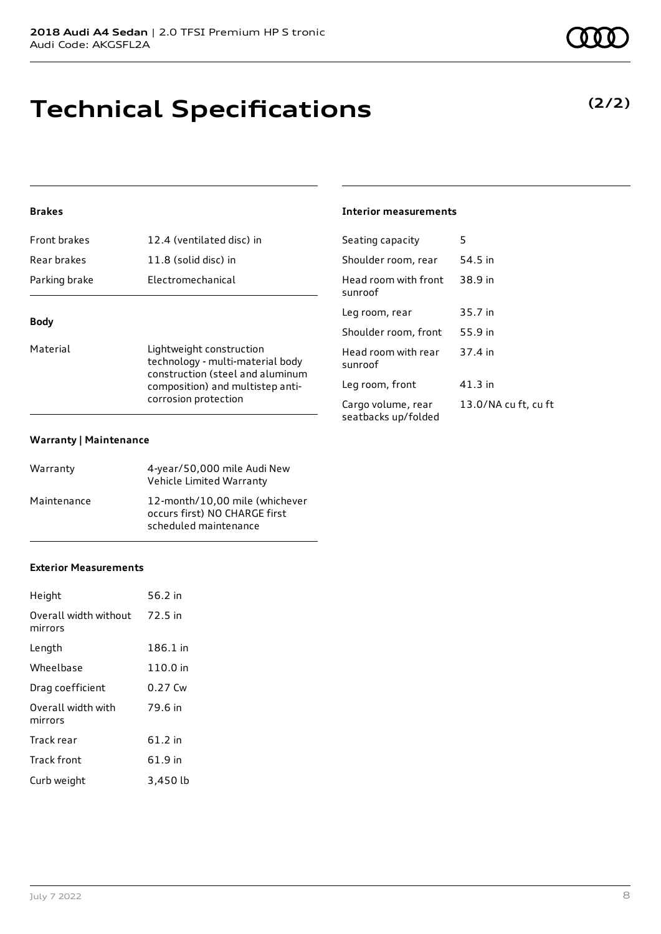## **Technical Specifications**

## **Brakes**

| Front brakes  | 12.4 (ventilated disc) in |
|---------------|---------------------------|
| Rear brakes   | 11.8 (solid disc) in      |
| Parking brake | Electromechanical         |
|               |                           |

## **Body**

| Material | Lightweight construction                                                                     |
|----------|----------------------------------------------------------------------------------------------|
|          | technology - multi-material body                                                             |
|          | construction (steel and aluminum<br>composition) and multistep anti-<br>corrosion protection |
|          |                                                                                              |

#### **Warranty | Maintenance**

| Warranty    | 4-year/50,000 mile Audi New<br>Vehicle Limited Warranty                                  |
|-------------|------------------------------------------------------------------------------------------|
| Maintenance | 12-month/10.00 mile (whichever<br>occurs first) NO CHARGE first<br>scheduled maintenance |

### **Exterior Measurements**

| Height                           | 56.2 in   |
|----------------------------------|-----------|
| Overall width without<br>mirrors | 72.5 in   |
| Length                           | 186.1 in  |
| Wheelbase                        | 110.0 in  |
| Drag coefficient                 | $0.27$ Cw |
| Overall width with<br>mirrors    | 79.6 in   |
| Track rear                       | 61.2 in   |
| <b>Track front</b>               | 61.9 in   |
| Curb weight                      | 3,450 lb  |

### **Interior measurements**

| 5                    |
|----------------------|
| 54.5 in              |
| 38.9 in              |
| 35.7 in              |
| 55.9 in              |
| 37.4 in              |
| 41.3 in              |
| 13.0/NA cu ft, cu ft |
|                      |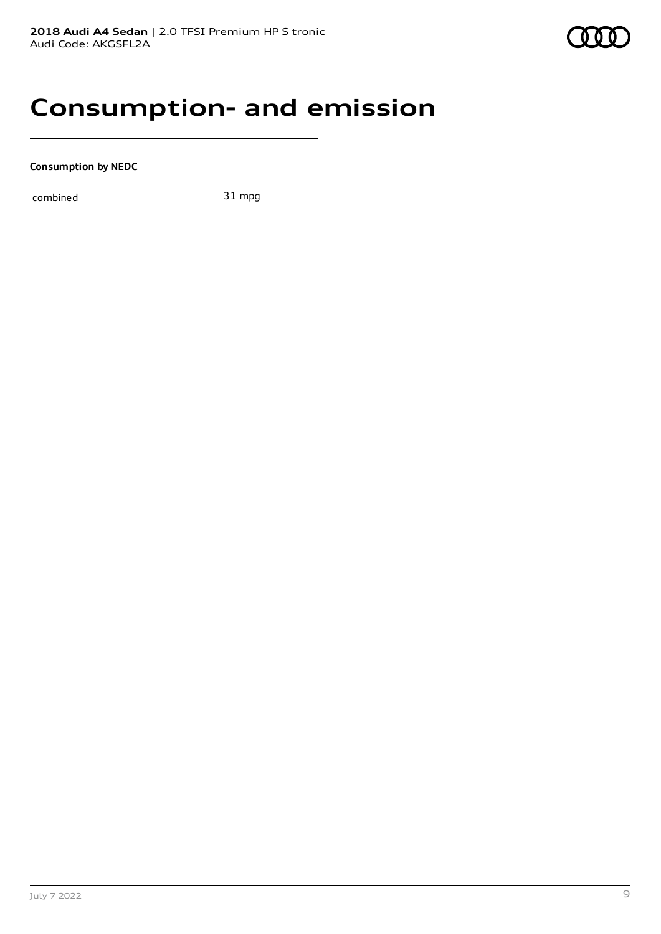## **Consumption- and emission**

**Consumption by NEDC**

combined 31 mpg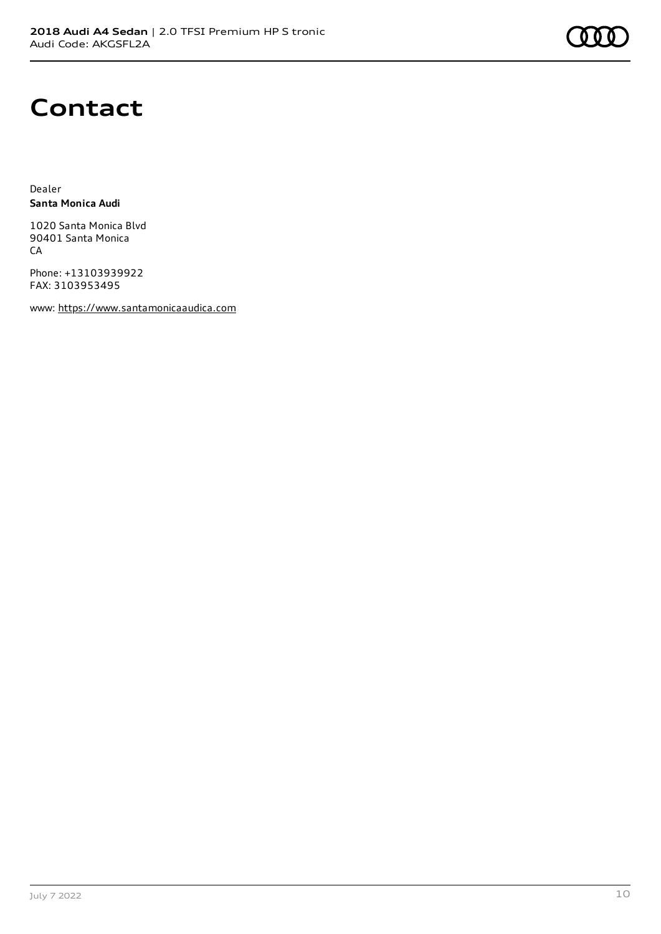## **Contact**

Dealer **Santa Monica Audi**

1020 Santa Monica Blvd 90401 Santa Monica **CA** 

Phone: +13103939922 FAX: 3103953495

www: [https://www.santamonicaaudica.com](https://www.santamonicaaudica.com/)